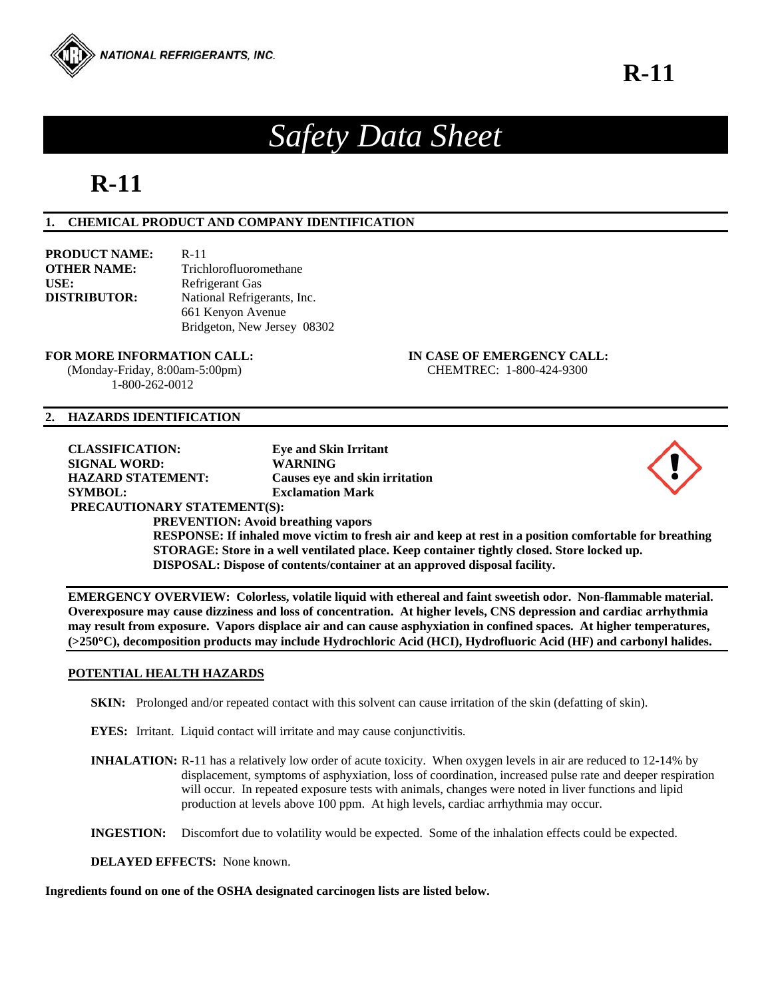

# *Safety Data Sheet*

# **R-11**

# **1. CHEMICAL PRODUCT AND COMPANY IDENTIFICATION**

| <b>PRODUCT NAME:</b> | $R-11$                      |
|----------------------|-----------------------------|
| <b>OTHER NAME:</b>   | Trichlorofluoromethane      |
| USE:                 | Refrigerant Gas             |
| <b>DISTRIBUTOR:</b>  | National Refrigerants, Inc. |
|                      | 661 Kenyon Avenue           |
|                      | Bridgeton, New Jersey 08302 |

#### **FOR MORE INFORMATION CALL: IN CASE OF EMERGENCY CALL:**

1-800-262-0012

(Monday-Friday, 8:00am-5:00pm) CHEMTREC: 1-800-424-9300

# **2. HAZARDS IDENTIFICATION**

**CLASSIFICATION: Eye and Skin Irritant SIGNAL WORD: WARNING HAZARD STATEMENT: Causes eye and skin irritation SYMBOL: Exclamation Mark** 



# **PRECAUTIONARY STATEMENT(S):**

**PREVENTION: Avoid breathing vapors** 

**RESPONSE: If inhaled move victim to fresh air and keep at rest in a position comfortable for breathing STORAGE: Store in a well ventilated place. Keep container tightly closed. Store locked up. DISPOSAL: Dispose of contents/container at an approved disposal facility.** 

**EMERGENCY OVERVIEW: Colorless, volatile liquid with ethereal and faint sweetish odor. Non-flammable material. Overexposure may cause dizziness and loss of concentration. At higher levels, CNS depression and cardiac arrhythmia may result from exposure. Vapors displace air and can cause asphyxiation in confined spaces. At higher temperatures, (>250C), decomposition products may include Hydrochloric Acid (HCI), Hydrofluoric Acid (HF) and carbonyl halides.** 

# **POTENTIAL HEALTH HAZARDS**

- **SKIN:** Prolonged and/or repeated contact with this solvent can cause irritation of the skin (defatting of skin).
- **EYES:** Irritant. Liquid contact will irritate and may cause conjunctivitis.
- **INHALATION:** R-11 has a relatively low order of acute toxicity. When oxygen levels in air are reduced to 12-14% by displacement, symptoms of asphyxiation, loss of coordination, increased pulse rate and deeper respiration will occur. In repeated exposure tests with animals, changes were noted in liver functions and lipid production at levels above 100 ppm. At high levels, cardiac arrhythmia may occur.

**INGESTION:** Discomfort due to volatility would be expected. Some of the inhalation effects could be expected.

**DELAYED EFFECTS:** None known.

# **Ingredients found on one of the OSHA designated carcinogen lists are listed below.**

**R-11**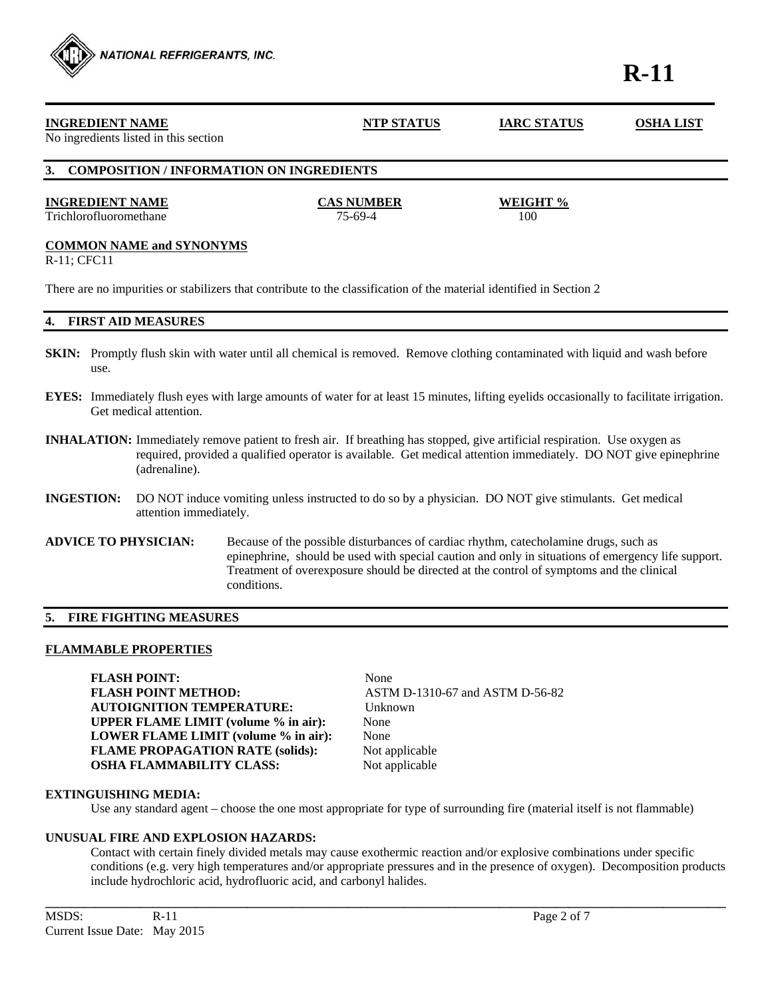

There are no impurities or stabilizers that contribute to the classification of the material identified in Section 2

# **4. FIRST AID MEASURES**

NATIONAL REFRIGERANTS, INC.

- **SKIN:** Promptly flush skin with water until all chemical is removed. Remove clothing contaminated with liquid and wash before use.
- **EYES:** Immediately flush eyes with large amounts of water for at least 15 minutes, lifting eyelids occasionally to facilitate irrigation. Get medical attention.
- **INHALATION:** Immediately remove patient to fresh air. If breathing has stopped, give artificial respiration. Use oxygen as required, provided a qualified operator is available. Get medical attention immediately. DO NOT give epinephrine (adrenaline).
- **INGESTION:** DO NOT induce vomiting unless instructed to do so by a physician. DO NOT give stimulants. Get medical attention immediately.
- **ADVICE TO PHYSICIAN:** Because of the possible disturbances of cardiac rhythm, catecholamine drugs, such as epinephrine, should be used with special caution and only in situations of emergency life support. Treatment of overexposure should be directed at the control of symptoms and the clinical conditions.

# **5. FIRE FIGHTING MEASURES**

#### **FLAMMABLE PROPERTIES**

FLASH POINT: None **FLASH POINT METHOD:** ASTM D-1310-67 and ASTM D-56-82 **AUTOIGNITION TEMPERATURE:** Unknown **UPPER FLAME LIMIT (volume % in air):** None **LOWER FLAME LIMIT (volume % in air):** None **FLAME PROPAGATION RATE (solids):** Not applicable **OSHA FLAMMABILITY CLASS:** Not applicable

#### **EXTINGUISHING MEDIA:**

Use any standard agent – choose the one most appropriate for type of surrounding fire (material itself is not flammable)

**\_\_\_\_\_\_\_\_\_\_\_\_\_\_\_\_\_\_\_\_\_\_\_\_\_\_\_\_\_\_\_\_\_\_\_\_\_\_\_\_\_\_\_\_\_\_\_\_\_\_\_\_\_\_\_\_\_\_\_\_\_\_\_\_\_\_\_\_\_\_\_\_\_\_\_\_\_\_\_\_\_\_\_\_\_\_\_\_\_\_\_\_\_\_\_\_\_\_\_\_\_\_\_\_\_\_\_\_** 

# **UNUSUAL FIRE AND EXPLOSION HAZARDS:**

 Contact with certain finely divided metals may cause exothermic reaction and/or explosive combinations under specific conditions (e.g. very high temperatures and/or appropriate pressures and in the presence of oxygen). Decomposition products include hydrochloric acid, hydrofluoric acid, and carbonyl halides.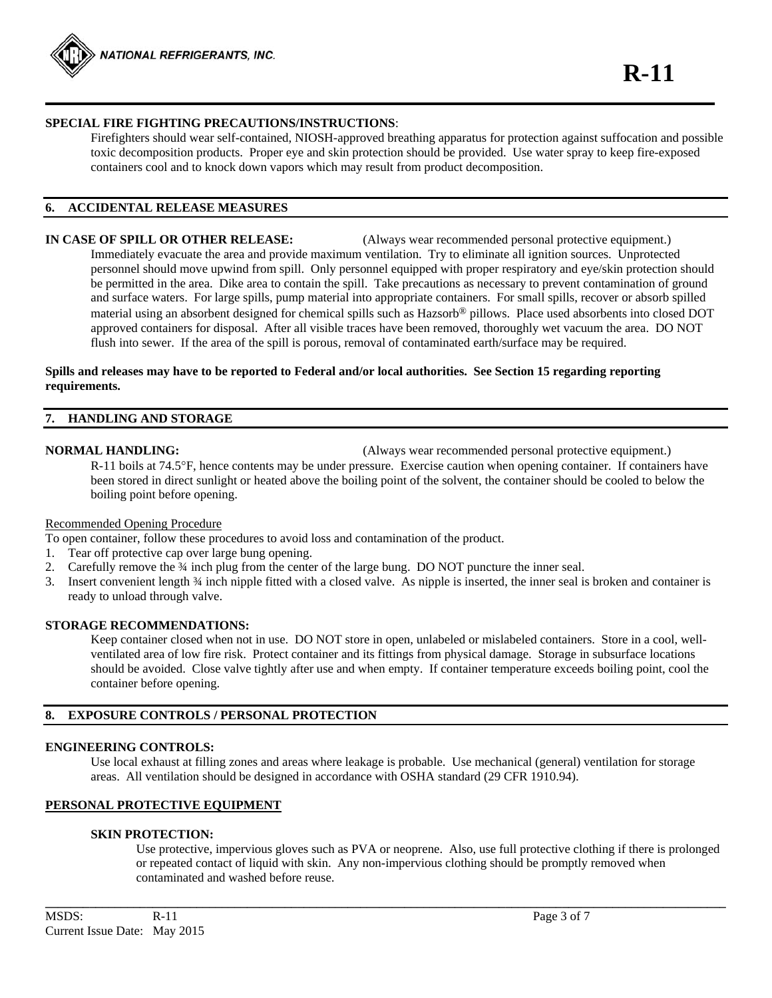

# **SPECIAL FIRE FIGHTING PRECAUTIONS/INSTRUCTIONS**:

 Firefighters should wear self-contained, NIOSH-approved breathing apparatus for protection against suffocation and possible toxic decomposition products. Proper eye and skin protection should be provided. Use water spray to keep fire-exposed containers cool and to knock down vapors which may result from product decomposition.

# **6. ACCIDENTAL RELEASE MEASURES**

# **IN CASE OF SPILL OR OTHER RELEASE:** (Always wear recommended personal protective equipment.) Immediately evacuate the area and provide maximum ventilation. Try to eliminate all ignition sources. Unprotected personnel should move upwind from spill. Only personnel equipped with proper respiratory and eye/skin protection should be permitted in the area. Dike area to contain the spill. Take precautions as necessary to prevent contamination of ground and surface waters. For large spills, pump material into appropriate containers. For small spills, recover or absorb spilled material using an absorbent designed for chemical spills such as Hazsorb® pillows. Place used absorbents into closed DOT approved containers for disposal. After all visible traces have been removed, thoroughly wet vacuum the area. DO NOT flush into sewer. If the area of the spill is porous, removal of contaminated earth/surface may be required.

# **Spills and releases may have to be reported to Federal and/or local authorities. See Section 15 regarding reporting requirements.**

# **7. HANDLING AND STORAGE**

**NORMAL HANDLING:** (Always wear recommended personal protective equipment.)

 $R-11$  boils at 74.5 $\degree$ F, hence contents may be under pressure. Exercise caution when opening container. If containers have been stored in direct sunlight or heated above the boiling point of the solvent, the container should be cooled to below the boiling point before opening.

#### Recommended Opening Procedure

- To open container, follow these procedures to avoid loss and contamination of the product.
- 1. Tear off protective cap over large bung opening.
- 2. Carefully remove the 34 inch plug from the center of the large bung. DO NOT puncture the inner seal.
- 3. Insert convenient length ¾ inch nipple fitted with a closed valve. As nipple is inserted, the inner seal is broken and container is ready to unload through valve.

#### **STORAGE RECOMMENDATIONS:**

 Keep container closed when not in use. DO NOT store in open, unlabeled or mislabeled containers. Store in a cool, well ventilated area of low fire risk. Protect container and its fittings from physical damage. Storage in subsurface locations should be avoided. Close valve tightly after use and when empty. If container temperature exceeds boiling point, cool the container before opening.

# **8. EXPOSURE CONTROLS / PERSONAL PROTECTION**

# **ENGINEERING CONTROLS:**

 Use local exhaust at filling zones and areas where leakage is probable. Use mechanical (general) ventilation for storage areas. All ventilation should be designed in accordance with OSHA standard (29 CFR 1910.94).

**\_\_\_\_\_\_\_\_\_\_\_\_\_\_\_\_\_\_\_\_\_\_\_\_\_\_\_\_\_\_\_\_\_\_\_\_\_\_\_\_\_\_\_\_\_\_\_\_\_\_\_\_\_\_\_\_\_\_\_\_\_\_\_\_\_\_\_\_\_\_\_\_\_\_\_\_\_\_\_\_\_\_\_\_\_\_\_\_\_\_\_\_\_\_\_\_\_\_\_\_\_\_\_\_\_\_\_\_** 

# **PERSONAL PROTECTIVE EQUIPMENT**

#### **SKIN PROTECTION:**

 Use protective, impervious gloves such as PVA or neoprene. Also, use full protective clothing if there is prolonged or repeated contact of liquid with skin. Any non-impervious clothing should be promptly removed when contaminated and washed before reuse.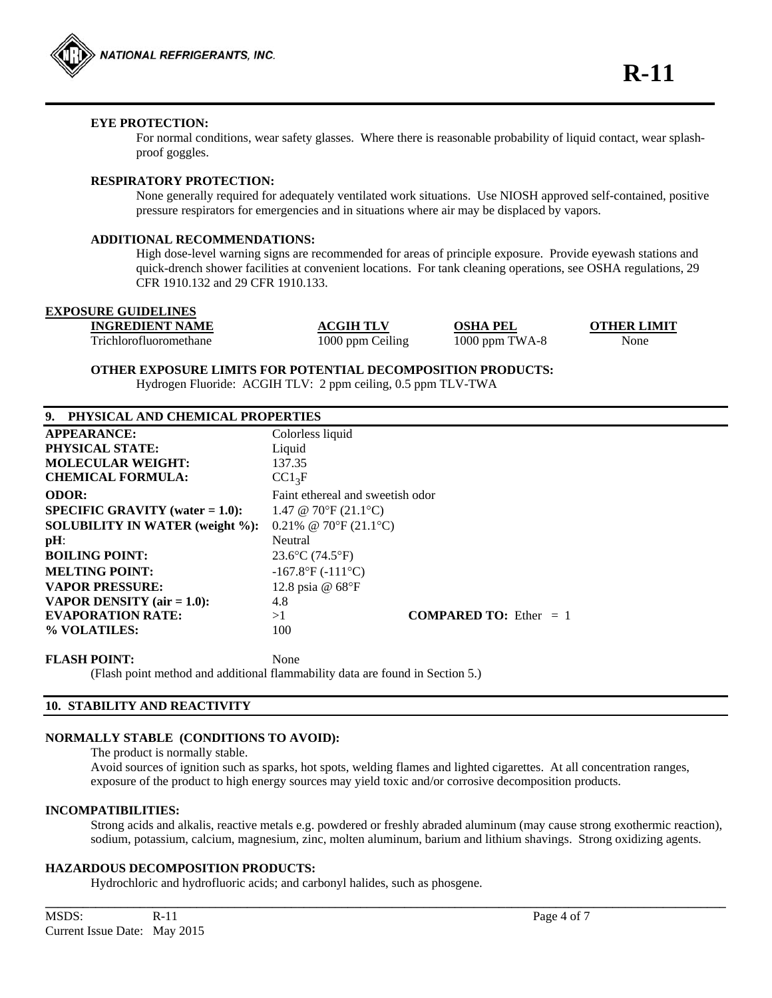

# **EYE PROTECTION:**

For normal conditions, wear safety glasses. Where there is reasonable probability of liquid contact, wear splashproof goggles.

# **RESPIRATORY PROTECTION:**

 None generally required for adequately ventilated work situations. Use NIOSH approved self-contained, positive pressure respirators for emergencies and in situations where air may be displaced by vapors.

#### **ADDITIONAL RECOMMENDATIONS:**

High dose-level warning signs are recommended for areas of principle exposure. Provide eyewash stations and quick-drench shower facilities at convenient locations. For tank cleaning operations, see OSHA regulations, 29 CFR 1910.132 and 29 CFR 1910.133.

| <b>EXPOSURE GUIDELINES</b> |
|----------------------------|
|                            |

**INGREDIENT NAME ACGIH TLV OSHA PEL OTHER LIMIT**

Trichlorofluoromethane 1000 ppm Ceiling 1000 ppm TWA-8 None

**OTHER EXPOSURE LIMITS FOR POTENTIAL DECOMPOSITION PRODUCTS:** 

Hydrogen Fluoride: ACGIH TLV: 2 ppm ceiling, 0.5 ppm TLV-TWA

| 9. PHYSICAL AND CHEMICAL PROPERTIES |  |
|-------------------------------------|--|
|-------------------------------------|--|

| <b>APPEARANCE:</b>                   | Colorless liquid                      |  |  |
|--------------------------------------|---------------------------------------|--|--|
| <b>PHYSICAL STATE:</b>               | Liquid                                |  |  |
| <b>MOLECULAR WEIGHT:</b>             | 137.35                                |  |  |
| <b>CHEMICAL FORMULA:</b>             | $CC1_3F$                              |  |  |
| <b>ODOR:</b>                         | Faint ethereal and sweetish odor      |  |  |
| $SPECIFIC$ GRAVITY (water = 1.0):    | 1.47 @ 70°F (21.1°C)                  |  |  |
| SOLUBILITY IN WATER (weight %):      | 0.21% @ 70°F $(21.1$ °C)              |  |  |
| pH:                                  | Neutral                               |  |  |
| <b>BOILING POINT:</b>                | $23.6$ °C (74.5°F)                    |  |  |
| <b>MELTING POINT:</b>                | $-167.8$ °F ( $-111$ °C)              |  |  |
| <b>VAPOR PRESSURE:</b>               | 12.8 psia @ 68°F                      |  |  |
| <b>VAPOR DENSITY</b> (air $= 1.0$ ): | 4.8                                   |  |  |
| <b>EVAPORATION RATE:</b>             | <b>COMPARED TO:</b> Ether $= 1$<br>>1 |  |  |
| % VOLATILES:                         | 100                                   |  |  |

#### FLASH POINT: None

(Flash point method and additional flammability data are found in Section 5.)

# **10. STABILITY AND REACTIVITY**

#### **NORMALLY STABLE (CONDITIONS TO AVOID):**

The product is normally stable.

Avoid sources of ignition such as sparks, hot spots, welding flames and lighted cigarettes. At all concentration ranges, exposure of the product to high energy sources may yield toxic and/or corrosive decomposition products.

**\_\_\_\_\_\_\_\_\_\_\_\_\_\_\_\_\_\_\_\_\_\_\_\_\_\_\_\_\_\_\_\_\_\_\_\_\_\_\_\_\_\_\_\_\_\_\_\_\_\_\_\_\_\_\_\_\_\_\_\_\_\_\_\_\_\_\_\_\_\_\_\_\_\_\_\_\_\_\_\_\_\_\_\_\_\_\_\_\_\_\_\_\_\_\_\_\_\_\_\_\_\_\_\_\_\_\_\_** 

# **INCOMPATIBILITIES:**

 Strong acids and alkalis, reactive metals e.g. powdered or freshly abraded aluminum (may cause strong exothermic reaction), sodium, potassium, calcium, magnesium, zinc, molten aluminum, barium and lithium shavings. Strong oxidizing agents.

#### **HAZARDOUS DECOMPOSITION PRODUCTS:**

Hydrochloric and hydrofluoric acids; and carbonyl halides, such as phosgene.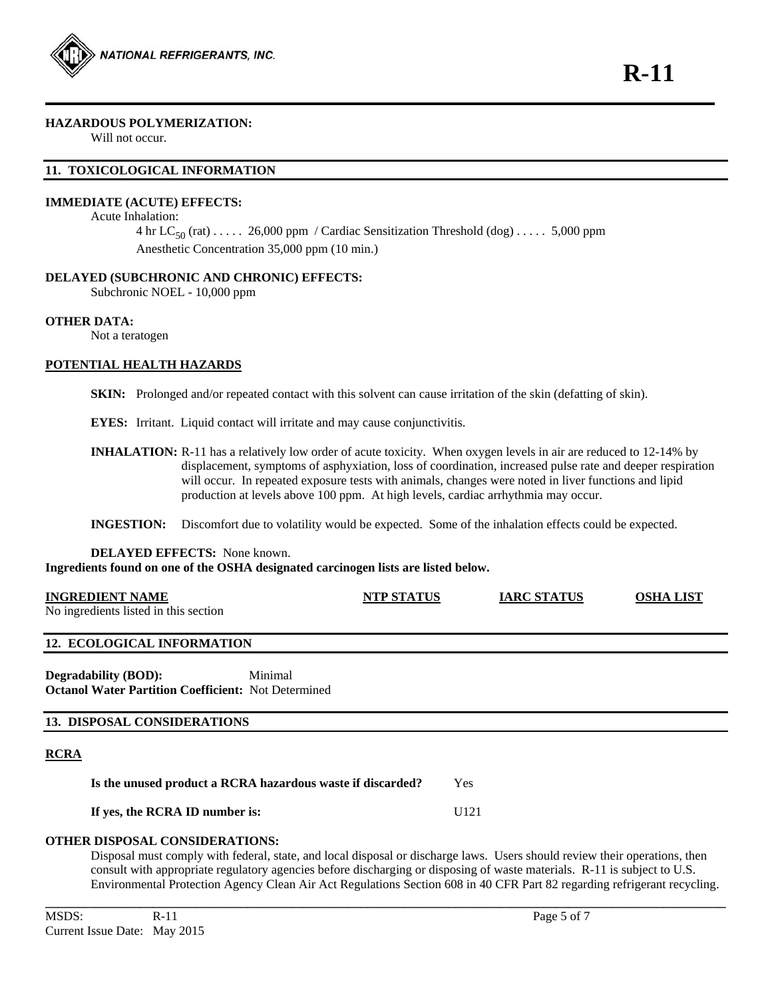

### **HAZARDOUS POLYMERIZATION:**

Will not occur.

# **11. TOXICOLOGICAL INFORMATION**

# **IMMEDIATE (ACUTE) EFFECTS:**

# Acute Inhalation:

4 hr  $LC_{50}$  (rat) ..... 26,000 ppm / Cardiac Sensitization Threshold (dog) ..... 5,000 ppm Anesthetic Concentration 35,000 ppm (10 min.)

# **DELAYED (SUBCHRONIC AND CHRONIC) EFFECTS:**

Subchronic NOEL - 10,000 ppm

# **OTHER DATA:**

Not a teratogen

#### **POTENTIAL HEALTH HAZARDS**

**SKIN:** Prolonged and/or repeated contact with this solvent can cause irritation of the skin (defatting of skin).

**EYES:** Irritant. Liquid contact will irritate and may cause conjunctivitis.

**INHALATION:** R-11 has a relatively low order of acute toxicity. When oxygen levels in air are reduced to 12-14% by displacement, symptoms of asphyxiation, loss of coordination, increased pulse rate and deeper respiration will occur. In repeated exposure tests with animals, changes were noted in liver functions and lipid production at levels above 100 ppm. At high levels, cardiac arrhythmia may occur.

**INGESTION:** Discomfort due to volatility would be expected. Some of the inhalation effects could be expected.

#### **DELAYED EFFECTS:** None known. **Ingredients found on one of the OSHA designated carcinogen lists are listed below.**

| <b>INGREDIENT NAME</b>                                                                                                     |         | <b>NTP STATUS</b> | <b>IARC STATUS</b> | <b>OSHA LIST</b> |
|----------------------------------------------------------------------------------------------------------------------------|---------|-------------------|--------------------|------------------|
| No ingredients listed in this section                                                                                      |         |                   |                    |                  |
|                                                                                                                            |         |                   |                    |                  |
| <b>12. ECOLOGICAL INFORMATION</b>                                                                                          |         |                   |                    |                  |
| <b>Degradability (BOD):</b>                                                                                                | Minimal |                   |                    |                  |
| <b>Octanol Water Partition Coefficient: Not Determined</b>                                                                 |         |                   |                    |                  |
|                                                                                                                            |         |                   |                    |                  |
| <b>13. DISPOSAL CONSIDERATIONS</b>                                                                                         |         |                   |                    |                  |
| <b>RCRA</b>                                                                                                                |         |                   |                    |                  |
|                                                                                                                            |         |                   |                    |                  |
| Is the unused product a RCRA hazardous waste if discarded?                                                                 |         | Yes               |                    |                  |
| If yes, the RCRA ID number is:                                                                                             |         | U121              |                    |                  |
|                                                                                                                            |         |                   |                    |                  |
| <b>OTHER DISPOSAL CONSIDERATIONS:</b>                                                                                      |         |                   |                    |                  |
| Disposal must comply with federal, state, and local disposal or discharge laws. Users should review their operations, then |         |                   |                    |                  |

 Disposal must comply with federal, state, and local disposal or discharge laws. Users should review their operations, then consult with appropriate regulatory agencies before discharging or disposing of waste materials. R-11 is subject to U.S. Environmental Protection Agency Clean Air Act Regulations Section 608 in 40 CFR Part 82 regarding refrigerant recycling.

**\_\_\_\_\_\_\_\_\_\_\_\_\_\_\_\_\_\_\_\_\_\_\_\_\_\_\_\_\_\_\_\_\_\_\_\_\_\_\_\_\_\_\_\_\_\_\_\_\_\_\_\_\_\_\_\_\_\_\_\_\_\_\_\_\_\_\_\_\_\_\_\_\_\_\_\_\_\_\_\_\_\_\_\_\_\_\_\_\_\_\_\_\_\_\_\_\_\_\_\_\_\_\_\_\_\_\_\_**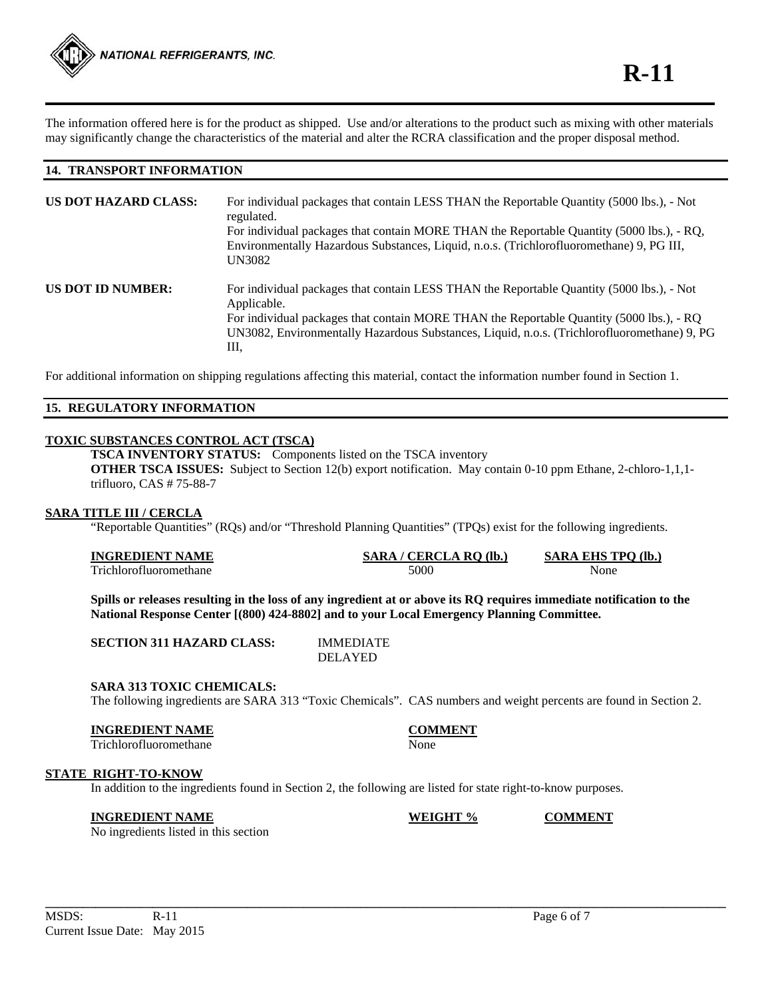The information offered here is for the product as shipped. Use and/or alterations to the product such as mixing with other materials may significantly change the characteristics of the material and alter the RCRA classification and the proper disposal method.

# **14. TRANSPORT INFORMATION**

| <b>US DOT HAZARD CLASS:</b> | For individual packages that contain LESS THAN the Reportable Quantity (5000 lbs.), - Not<br>regulated.<br>For individual packages that contain MORE THAN the Reportable Quantity (5000 lbs.), - RQ,<br>Environmentally Hazardous Substances, Liquid, n.o.s. (Trichlorofluoromethane) 9, PG III,<br><b>UN3082</b> |
|-----------------------------|-------------------------------------------------------------------------------------------------------------------------------------------------------------------------------------------------------------------------------------------------------------------------------------------------------------------|
| <b>US DOT ID NUMBER:</b>    | For individual packages that contain LESS THAN the Reportable Quantity (5000 lbs.), - Not<br>Applicable.<br>For individual packages that contain MORE THAN the Reportable Quantity (5000 lbs.), - RQ<br>UN3082, Environmentally Hazardous Substances, Liquid, n.o.s. (Trichlorofluoromethane) 9, PG<br>Ш.         |

For additional information on shipping regulations affecting this material, contact the information number found in Section 1.

# **15. REGULATORY INFORMATION**

# **TOXIC SUBSTANCES CONTROL ACT (TSCA)**

**TSCA INVENTORY STATUS:** Components listed on the TSCA inventory **OTHER TSCA ISSUES:** Subject to Section 12(b) export notification. May contain 0-10 ppm Ethane, 2-chloro-1,1,1 trifluoro, CAS # 75-88-7

#### **SARA TITLE III / CERCLA**

"Reportable Quantities" (RQs) and/or "Threshold Planning Quantities" (TPQs) exist for the following ingredients.

| <b>INGREDIENT NAME</b> | $CERCLA$ RO<br>$\mathcal{L}$ (lb.<br><b>ARA</b> | <b>SARA</b><br>EHS TPO (lb. |
|------------------------|-------------------------------------------------|-----------------------------|
| Frichlorotluoromethane | 5000                                            | None                        |

**Spills or releases resulting in the loss of any ingredient at or above its RQ requires immediate notification to the National Response Center [(800) 424-8802] and to your Local Emergency Planning Committee.** 

| <b>SECTION 311 HAZARD CLASS:</b> | <b>IMMEDIATE</b> |
|----------------------------------|------------------|
|                                  | <b>DELAYED</b>   |

# **SARA 313 TOXIC CHEMICALS:**

The following ingredients are SARA 313 "Toxic Chemicals". CAS numbers and weight percents are found in Section 2.

**\_\_\_\_\_\_\_\_\_\_\_\_\_\_\_\_\_\_\_\_\_\_\_\_\_\_\_\_\_\_\_\_\_\_\_\_\_\_\_\_\_\_\_\_\_\_\_\_\_\_\_\_\_\_\_\_\_\_\_\_\_\_\_\_\_\_\_\_\_\_\_\_\_\_\_\_\_\_\_\_\_\_\_\_\_\_\_\_\_\_\_\_\_\_\_\_\_\_\_\_\_\_\_\_\_\_\_\_** 

#### **INGREDIENT NAME COMMENT**

Trichlorofluoromethane None

#### **STATE RIGHT-TO-KNOW**

In addition to the ingredients found in Section 2, the following are listed for state right-to-know purposes.

#### **INGREDIENT NAME WEIGHT % COMMENT**

No ingredients listed in this section